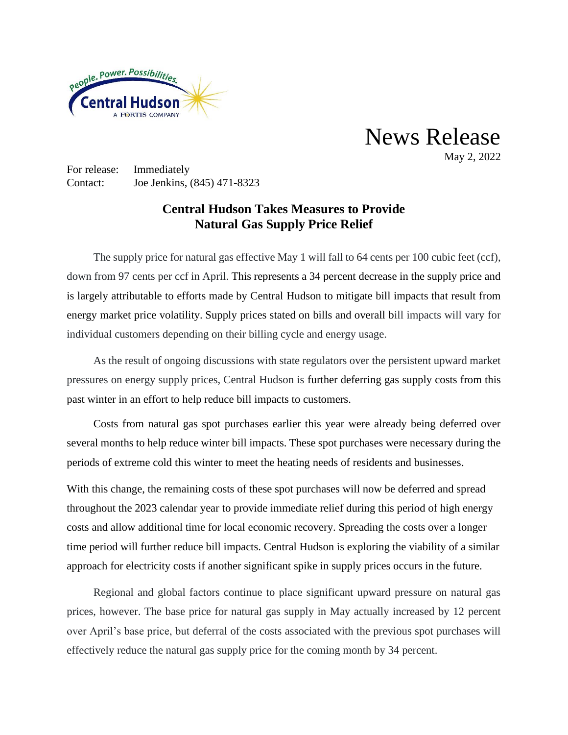

News Release May 2, 2022

For release: Immediately Contact: Joe Jenkins, (845) 471-8323

## **Central Hudson Takes Measures to Provide Natural Gas Supply Price Relief**

The supply price for natural gas effective May 1 will fall to 64 cents per 100 cubic feet (ccf), down from 97 cents per ccf in April. This represents a 34 percent decrease in the supply price and is largely attributable to efforts made by Central Hudson to mitigate bill impacts that result from energy market price volatility. Supply prices stated on bills and overall bill impacts will vary for individual customers depending on their billing cycle and energy usage.

As the result of ongoing discussions with state regulators over the persistent upward market pressures on energy supply prices, Central Hudson is further deferring gas supply costs from this past winter in an effort to help reduce bill impacts to customers.

Costs from natural gas spot purchases earlier this year were already being deferred over several months to help reduce winter bill impacts. These spot purchases were necessary during the periods of extreme cold this winter to meet the heating needs of residents and businesses.

With this change, the remaining costs of these spot purchases will now be deferred and spread throughout the 2023 calendar year to provide immediate relief during this period of high energy costs and allow additional time for local economic recovery. Spreading the costs over a longer time period will further reduce bill impacts. Central Hudson is exploring the viability of a similar approach for electricity costs if another significant spike in supply prices occurs in the future.

Regional and global factors continue to place significant upward pressure on natural gas prices, however. The base price for natural gas supply in May actually increased by 12 percent over April's base price, but deferral of the costs associated with the previous spot purchases will effectively reduce the natural gas supply price for the coming month by 34 percent.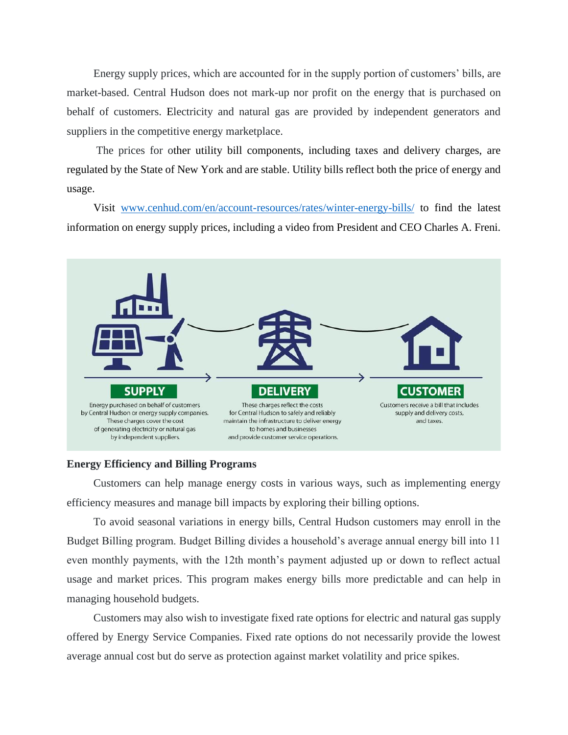Energy supply prices, which are accounted for in the supply portion of customers' bills, are market-based. Central Hudson does not mark-up nor profit on the energy that is purchased on behalf of customers. Electricity and natural gas are provided by independent generators and suppliers in the competitive energy marketplace.

The prices for other utility bill components, including taxes and delivery charges, are regulated by the State of New York and are stable. Utility bills reflect both the price of energy and usage.

Visit [www.cenhud.com/en/account-resources/rates/winter-energy-bills/](http://www.cenhud.com/en/account-resources/rates/winter-energy-bills/) to find the latest information on energy supply prices, including a video from President and CEO Charles A. Freni.



## **Energy Efficiency and Billing Programs**

Customers can help manage energy costs in various ways, such as implementing energy efficiency measures and manage bill impacts by exploring their billing options.

To avoid seasonal variations in energy bills, Central Hudson customers may enroll in the Budget Billing program. Budget Billing divides a household's average annual energy bill into 11 even monthly payments, with the 12th month's payment adjusted up or down to reflect actual usage and market prices. This program makes energy bills more predictable and can help in managing household budgets.

Customers may also wish to investigate fixed rate options for electric and natural gas supply offered by Energy Service Companies. Fixed rate options do not necessarily provide the lowest average annual cost but do serve as protection against market volatility and price spikes.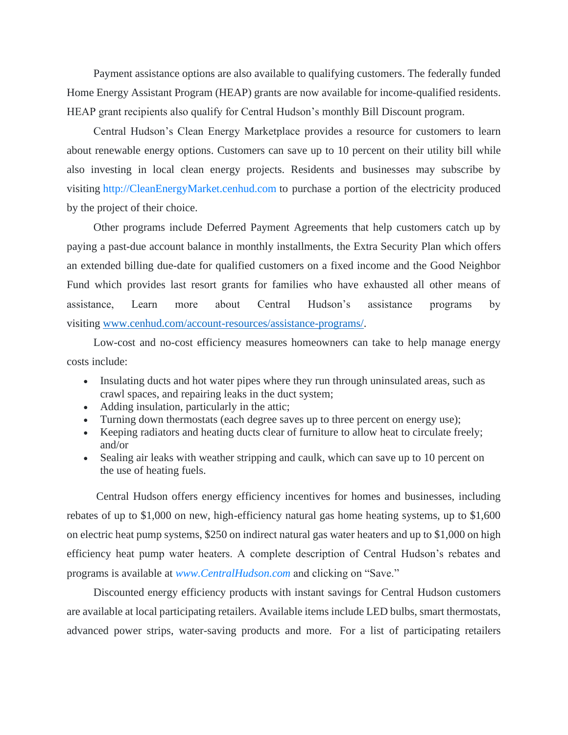Payment assistance options are also available to qualifying customers. The federally funded Home Energy Assistant Program (HEAP) grants are now available for income-qualified residents. HEAP grant recipients also qualify for Central Hudson's monthly Bill Discount program.

Central Hudson's Clean Energy Marketplace provides a resource for customers to learn about renewable energy options. Customers can save up to 10 percent on their utility bill while also investing in local clean energy projects. Residents and businesses may subscribe by visiting [http://CleanEnergyMarket.cenhud.com](http://cleanenergymarket.cenhud.com/) to purchase a portion of the electricity produced by the project of their choice.

Other programs include Deferred Payment Agreements that help customers catch up by paying a past-due account balance in monthly installments, the Extra Security Plan which offers an extended billing due-date for qualified customers on a fixed income and the Good Neighbor Fund which provides last resort grants for families who have exhausted all other means of assistance, Learn more about Central Hudson's assistance programs by visiting [www.cenhud.com/account-resources/assistance-programs/.](http://www.cenhud.com/account-resources/assistance-programs/)

Low-cost and no-cost efficiency measures homeowners can take to help manage energy costs include:

- Insulating ducts and hot water pipes where they run through uninsulated areas, such as crawl spaces, and repairing leaks in the duct system;
- Adding insulation, particularly in the attic;
- Turning down thermostats (each degree saves up to three percent on energy use);
- Keeping radiators and heating ducts clear of furniture to allow heat to circulate freely; and/or
- Sealing air leaks with weather stripping and caulk, which can save up to 10 percent on the use of heating fuels.

Central Hudson offers energy efficiency incentives for homes and businesses, including rebates of up to \$1,000 on new, high-efficiency natural gas home heating systems, up to \$1,600 on electric heat pump systems, \$250 on indirect natural gas water heaters and up to \$1,000 on high efficiency heat pump water heaters. A complete description of Central Hudson's rebates and programs is available at *[www.CentralHudson.com](http://www.centralhudson.com/)* and clicking on "Save."

Discounted energy efficiency products with instant savings for Central Hudson customers are available at local participating retailers. Available items include LED bulbs, smart thermostats, advanced power strips, water-saving products and more. For a list of participating retailers